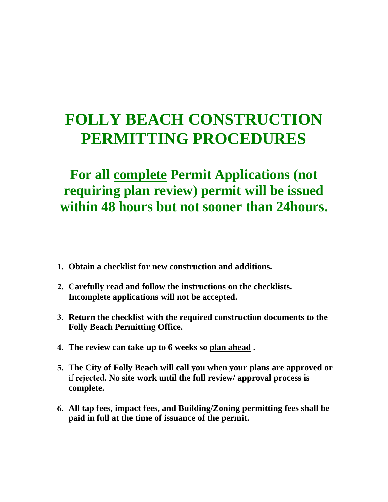## **FOLLY BEACH CONSTRUCTION PERMITTING PROCEDURES**

## **For all complete Permit Applications (not requiring plan review) permit will be issued within 48 hours but not sooner than 24hours.**

- **1. Obtain a checklist for new construction and additions.**
- **2. Carefully read and follow the instructions on the checklists. Incomplete applications will not be accepted.**
- **3. Return the checklist with the required construction documents to the Folly Beach Permitting Office.**
- **4. The review can take up to 6 weeks so plan ahead .**
- **5. The City of Folly Beach will call you when your plans are approved or** if **rejected. No site work until the full review/ approval process is complete.**
- **6. All tap fees, impact fees, and Building/Zoning permitting fees shall be paid in full at the time of issuance of the permit.**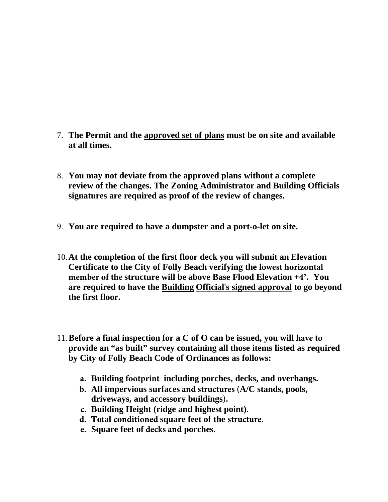- 7. **The Permit and the approved set of plans must be on site and available at all times.**
- 8. **You may not deviate from the approved plans without a complete review of the changes. The Zoning Administrator and Building Officials signatures are required as proof of the review of changes.**
- 9. **You are required to have a dumpster and a port-o-let on site.**
- 10.**At the completion of the first floor deck you will submit an Elevation Certificate to the City of Folly Beach verifying the lowest horizontal member of the structure will be above Base Flood Elevation +4'. You are required to have the Building Official's signed approval to go beyond the first floor.**
- 11.**Before a final inspection for a C of O can be issued, you will have to provide an "as built" survey containing all those items listed as required by City of Folly Beach Code of Ordinances as follows:**
	- **a. Building footprint including porches, decks, and overhangs.**
	- **b. All impervious surfaces and structures (A/C stands, pools, driveways, and accessory buildings).**
	- **c. Building Height (ridge and highest point).**
	- **d. Total conditioned square feet of the structure.**
	- **e. Square feet of decks and porches.**